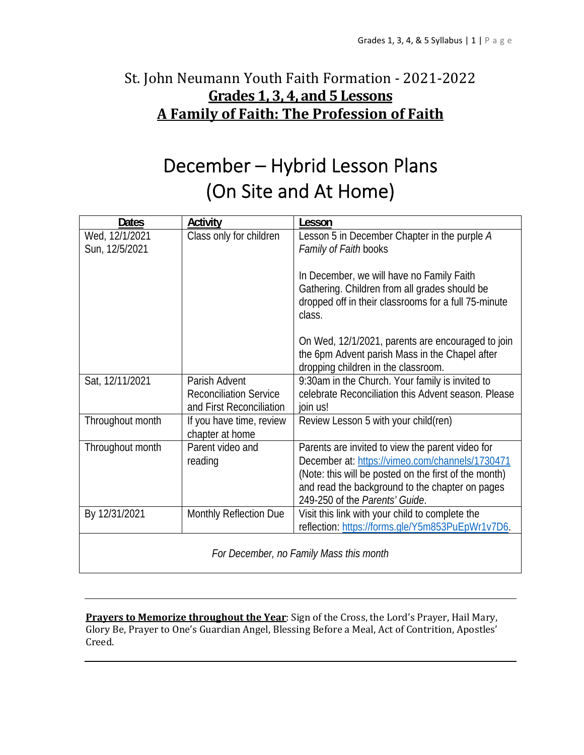## St. John Neumann Youth Faith Formation - 2021-2022 **Grades 1, 3, 4, and 5 Lessons A Family of Faith: The Profession of Faith**

# December – Hybrid Lesson Plans (On Site and At Home)

| <b>Dates</b>                            | <b>Activity</b>                                                            | Lesson                                                                                                                                                                                                                                            |  |  |
|-----------------------------------------|----------------------------------------------------------------------------|---------------------------------------------------------------------------------------------------------------------------------------------------------------------------------------------------------------------------------------------------|--|--|
| Wed, 12/1/2021<br>Sun, 12/5/2021        | Class only for children                                                    | Lesson 5 in December Chapter in the purple A<br>Family of Faith books                                                                                                                                                                             |  |  |
|                                         |                                                                            | In December, we will have no Family Faith<br>Gathering. Children from all grades should be<br>dropped off in their classrooms for a full 75-minute<br>class.                                                                                      |  |  |
|                                         |                                                                            | On Wed, 12/1/2021, parents are encouraged to join<br>the 6pm Advent parish Mass in the Chapel after<br>dropping children in the classroom.                                                                                                        |  |  |
| Sat, 12/11/2021                         | Parish Advent<br><b>Reconciliation Service</b><br>and First Reconciliation | 9:30am in the Church. Your family is invited to<br>celebrate Reconciliation this Advent season. Please<br>join us!                                                                                                                                |  |  |
| Throughout month                        | If you have time, review<br>chapter at home                                | Review Lesson 5 with your child(ren)                                                                                                                                                                                                              |  |  |
| Throughout month                        | Parent video and<br>reading                                                | Parents are invited to view the parent video for<br>December at: https://vimeo.com/channels/1730471<br>(Note: this will be posted on the first of the month)<br>and read the background to the chapter on pages<br>249-250 of the Parents' Guide. |  |  |
| By 12/31/2021                           | Monthly Reflection Due                                                     | Visit this link with your child to complete the<br>reflection: https://forms.gle/Y5m853PuEpWr1v7D6.                                                                                                                                               |  |  |
| For December, no Family Mass this month |                                                                            |                                                                                                                                                                                                                                                   |  |  |

**Prayers to Memorize throughout the Year**: Sign of the Cross, the Lord's Prayer, Hail Mary, Glory Be, Prayer to One's Guardian Angel, Blessing Before a Meal, Act of Contrition, Apostles' Creed.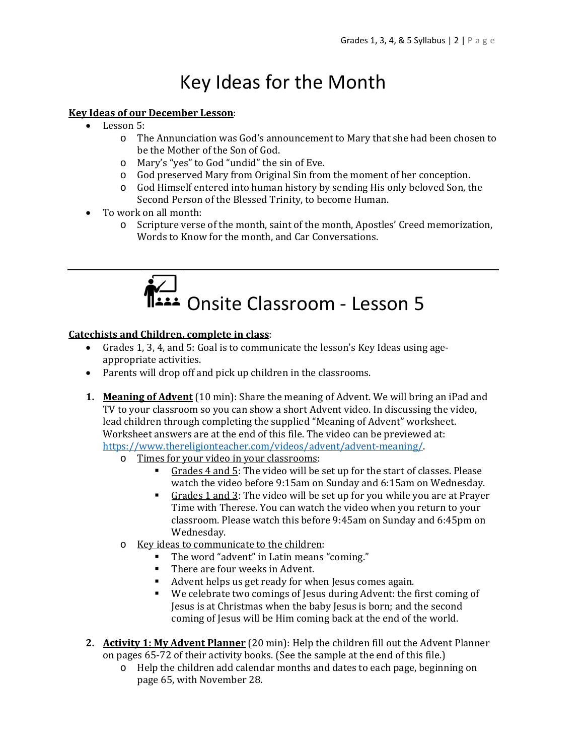# Key Ideas for the Month

### **Key Ideas of our December Lesson**:

- Lesson 5:
	- o The Annunciation was God's announcement to Mary that she had been chosen to be the Mother of the Son of God.
	- o Mary's "yes" to God "undid" the sin of Eve.
	- o God preserved Mary from Original Sin from the moment of her conception.
	- o God Himself entered into human history by sending His only beloved Son, the Second Person of the Blessed Trinity, to become Human.
- To work on all month:
	- o Scripture verse of the month, saint of the month, Apostles' Creed memorization, Words to Know for the month, and Car Conversations.



### **Catechists and Children, complete in class**:

- Grades 1, 3, 4, and 5: Goal is to communicate the lesson's Key Ideas using ageappropriate activities.
- Parents will drop off and pick up children in the classrooms.
- **1. Meaning of Advent** (10 min): Share the meaning of Advent. We will bring an iPad and TV to your classroom so you can show a short Advent video. In discussing the video, lead children through completing the supplied "Meaning of Advent" worksheet. Worksheet answers are at the end of this file. The video can be previewed at: https://www.thereligionteacher.com/videos/advent/advent-meaning/.
	- o Times for your video in your classrooms:
		- Grades 4 and 5: The video will be set up for the start of classes. Please watch the video before 9:15am on Sunday and 6:15am on Wednesday.
		- Grades 1 and 3: The video will be set up for you while you are at Prayer Time with Therese. You can watch the video when you return to your classroom. Please watch this before 9:45am on Sunday and 6:45pm on Wednesday.
	- o Key ideas to communicate to the children:
		- The word "advent" in Latin means "coming."
		- There are four weeks in Advent.
		- Advent helps us get ready for when Jesus comes again.
		- We celebrate two comings of Jesus during Advent: the first coming of Jesus is at Christmas when the baby Jesus is born; and the second coming of Jesus will be Him coming back at the end of the world.
- **2. Activity 1: My Advent Planner** (20 min): Help the children fill out the Advent Planner on pages 65-72 of their activity books. (See the sample at the end of this file.)
	- o Help the children add calendar months and dates to each page, beginning on page 65, with November 28.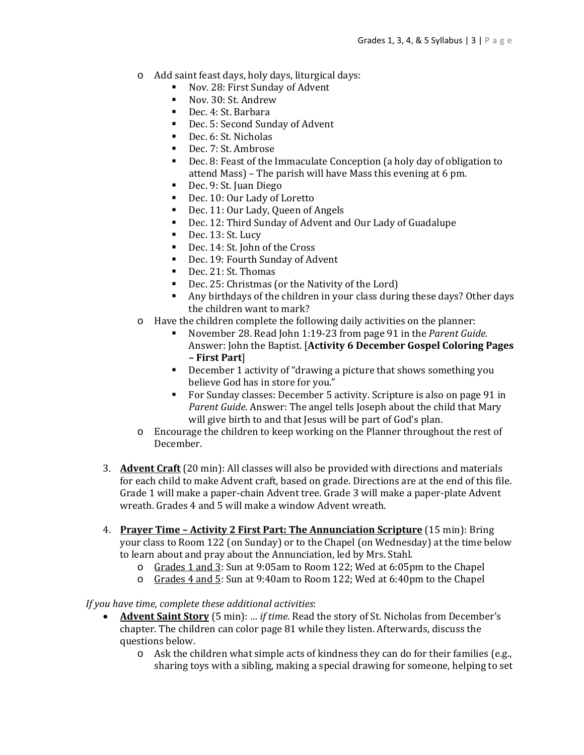- o Add saint feast days, holy days, liturgical days:
	- Nov. 28: First Sunday of Advent
	- Nov. 30: St. Andrew
	- Dec. 4: St. Barbara
	- Dec. 5: Second Sunday of Advent
	- Dec. 6: St. Nicholas
	- Dec. 7: St. Ambrose
	- Dec. 8: Feast of the Immaculate Conception (a holy day of obligation to attend Mass) – The parish will have Mass this evening at 6 pm.
	- Dec. 9: St. Juan Diego
	- Dec. 10: Our Lady of Loretto
	- Dec. 11: Our Lady, Queen of Angels
	- Dec. 12: Third Sunday of Advent and Our Lady of Guadalupe
	- Dec. 13: St. Lucy
	- Dec. 14: St. John of the Cross
	- Dec. 19: Fourth Sunday of Advent
	- Dec. 21: St. Thomas
	- Dec. 25: Christmas (or the Nativity of the Lord)
	- Any birthdays of the children in your class during these days? Other days the children want to mark?
- o Have the children complete the following daily activities on the planner:
	- November 28. Read John 1:19-23 from page 91 in the *Parent Guide*. Answer: John the Baptist. [**Activity 6 December Gospel Coloring Pages – First Part**]
	- December 1 activity of "drawing a picture that shows something you believe God has in store for you."
	- For Sunday classes: December 5 activity. Scripture is also on page 91 in *Parent Guide*. Answer: The angel tells Joseph about the child that Mary will give birth to and that Jesus will be part of God's plan.
- o Encourage the children to keep working on the Planner throughout the rest of December.
- 3. **Advent Craft** (20 min): All classes will also be provided with directions and materials for each child to make Advent craft, based on grade. Directions are at the end of this file. Grade 1 will make a paper-chain Advent tree. Grade 3 will make a paper-plate Advent wreath. Grades 4 and 5 will make a window Advent wreath.
- 4. **Prayer Time – Activity 2 First Part: The Annunciation Scripture** (15 min): Bring your class to Room 122 (on Sunday) or to the Chapel (on Wednesday) at the time below to learn about and pray about the Annunciation, led by Mrs. Stahl.
	- o Grades 1 and 3: Sun at 9:05am to Room 122; Wed at 6:05pm to the Chapel
	- o Grades 4 and 5: Sun at 9:40am to Room 122; Wed at 6:40pm to the Chapel

### *If you have time, complete these additional activities*:

- **Advent Saint Story** (5 min): *… if time.* Read the story of St. Nicholas from December's chapter. The children can color page 81 while they listen. Afterwards, discuss the questions below.
	- o Ask the children what simple acts of kindness they can do for their families (e.g., sharing toys with a sibling, making a special drawing for someone, helping to set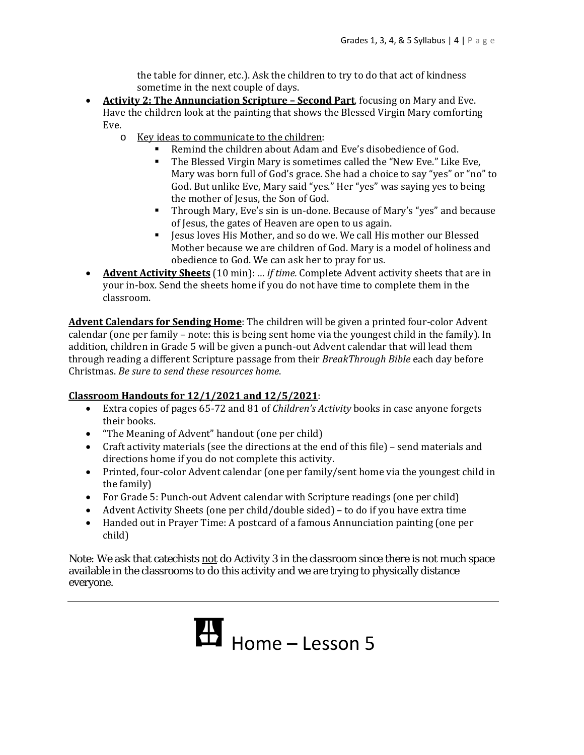the table for dinner, etc.). Ask the children to try to do that act of kindness sometime in the next couple of days.

- **Activity 2: The Annunciation Scripture – Second Part**, focusing on Mary and Eve. Have the children look at the painting that shows the Blessed Virgin Mary comforting Eve.
	- o Key ideas to communicate to the children:
		- Remind the children about Adam and Eve's disobedience of God.
		- The Blessed Virgin Mary is sometimes called the "New Eve." Like Eve, Mary was born full of God's grace. She had a choice to say "yes" or "no" to God. But unlike Eve, Mary said "yes." Her "yes" was saying yes to being the mother of Jesus, the Son of God.
		- Through Mary, Eve's sin is un-done. Because of Mary's "yes" and because of Jesus, the gates of Heaven are open to us again.
		- Jesus loves His Mother, and so do we. We call His mother our Blessed Mother because we are children of God. Mary is a model of holiness and obedience to God. We can ask her to pray for us.
- **Advent Activity Sheets** (10 min): *… if time.* Complete Advent activity sheets that are in your in-box. Send the sheets home if you do not have time to complete them in the classroom.

**Advent Calendars for Sending Home**: The children will be given a printed four-color Advent calendar (one per family – note: this is being sent home via the youngest child in the family). In addition, children in Grade 5 will be given a punch-out Advent calendar that will lead them through reading a different Scripture passage from their *BreakThrough Bible* each day before Christmas. *Be sure to send these resources home*.

### **Classroom Handouts for 12/1/2021 and 12/5/2021**:

- Extra copies of pages 65-72 and 81 of *Children's Activity* books in case anyone forgets their books.
- "The Meaning of Advent" handout (one per child)
- Craft activity materials (see the directions at the end of this file) send materials and directions home if you do not complete this activity.
- Printed, four-color Advent calendar (one per family/sent home via the youngest child in the family)
- For Grade 5: Punch-out Advent calendar with Scripture readings (one per child)
- Advent Activity Sheets (one per child/double sided) to do if you have extra time
- Handed out in Prayer Time: A postcard of a famous Annunciation painting (one per child)

Note: We ask that catechists not do Activity 3 in the classroom since there is not much space available in the classrooms to do this activity and we are trying to physically distance everyone.

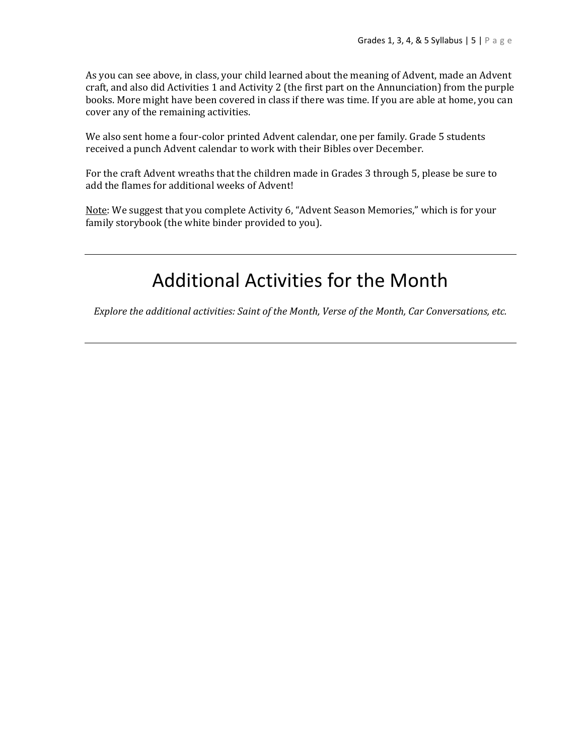As you can see above, in class, your child learned about the meaning of Advent, made an Advent craft, and also did Activities 1 and Activity 2 (the first part on the Annunciation) from the purple books. More might have been covered in class if there was time. If you are able at home, you can cover any of the remaining activities.

We also sent home a four-color printed Advent calendar, one per family. Grade 5 students received a punch Advent calendar to work with their Bibles over December.

For the craft Advent wreaths that the children made in Grades 3 through 5, please be sure to add the flames for additional weeks of Advent!

Note: We suggest that you complete Activity 6, "Advent Season Memories," which is for your family storybook (the white binder provided to you).

# Additional Activities for the Month

*Explore the additional activities: Saint of the Month, Verse of the Month, Car Conversations, etc.*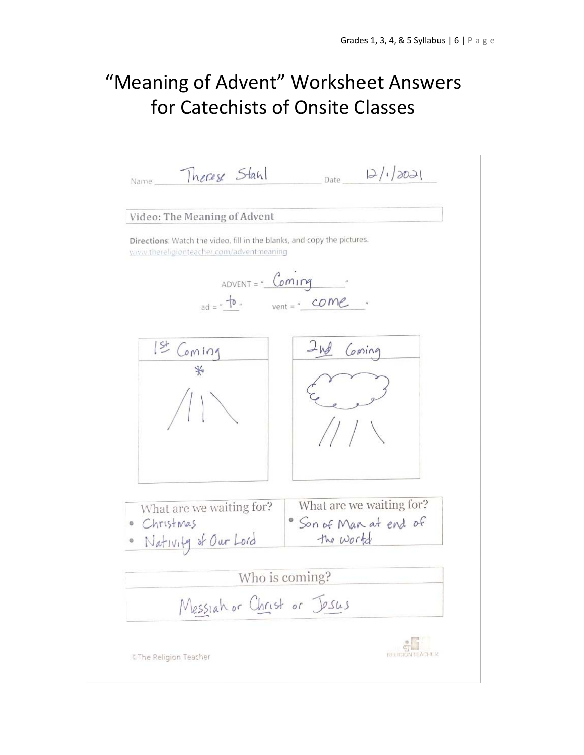# "Meaning of Advent" Worksheet Answers for Catechists of Onsite Classes

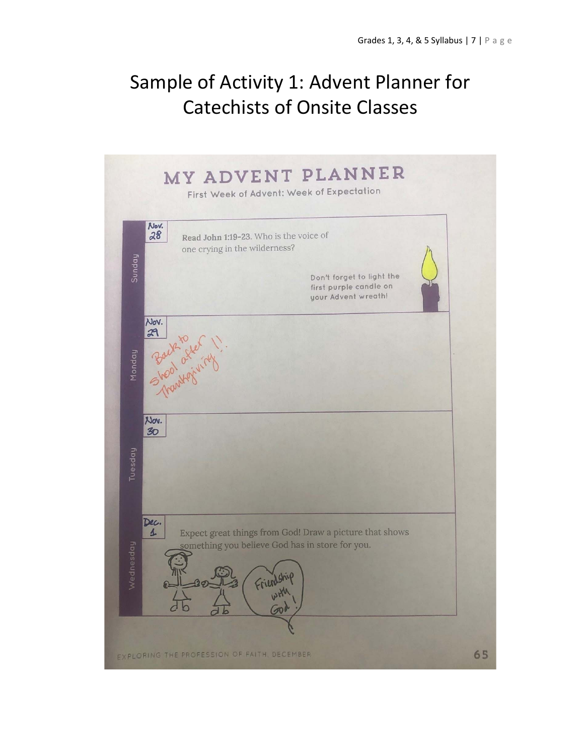# Sample of Activity 1: Advent Planner for Catechists of Onsite Classes

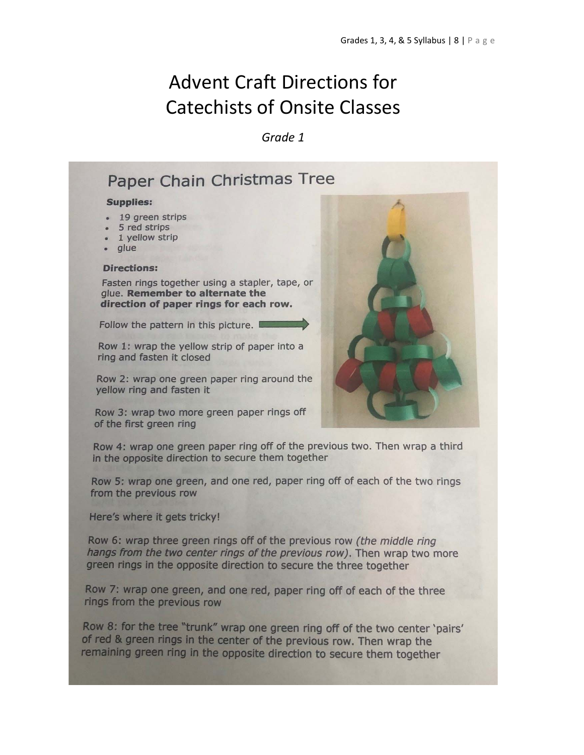# **Advent Craft Directions for Catechists of Onsite Classes**

Grade 1

## Paper Chain Christmas Tree

#### **Supplies:**

- 19 green strips
- 5 red strips
- 1 yellow strip
- alue

#### **Directions:**

Fasten rings together using a stapler, tape, or glue. Remember to alternate the direction of paper rings for each row.

Follow the pattern in this picture.

Row 1: wrap the yellow strip of paper into a ring and fasten it closed

Row 2: wrap one green paper ring around the vellow ring and fasten it

Row 3: wrap two more green paper rings off of the first green ring



Row 4: wrap one green paper ring off of the previous two. Then wrap a third in the opposite direction to secure them together

Row 5: wrap one green, and one red, paper ring off of each of the two rings from the previous row

Here's where it gets tricky!

Row 6: wrap three green rings off of the previous row (the middle ring hangs from the two center rings of the previous row). Then wrap two more green rings in the opposite direction to secure the three together

Row 7: wrap one green, and one red, paper ring off of each of the three rings from the previous row

Row 8: for the tree "trunk" wrap one green ring off of the two center 'pairs' of red & green rings in the center of the previous row. Then wrap the remaining green ring in the opposite direction to secure them together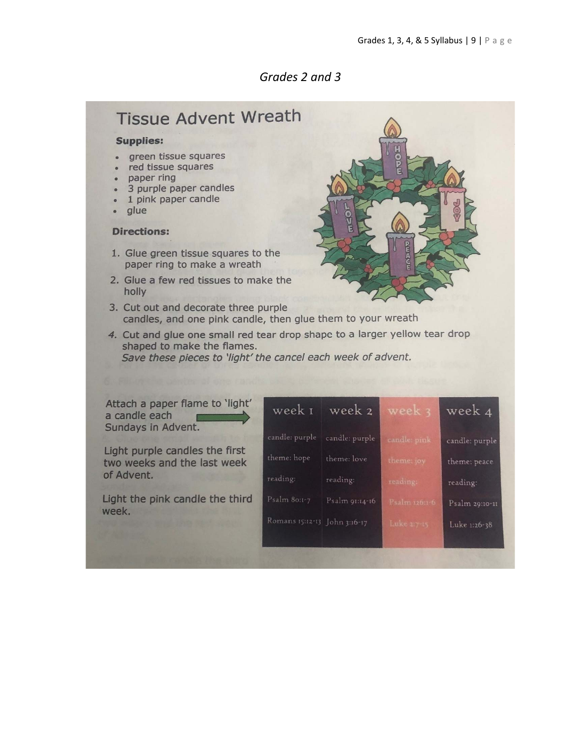## Grades 2 and 3

## **Tissue Advent Wreath**

#### **Supplies:**

- · green tissue squares
- red tissue squares
- paper ring
- 3 purple paper candles
- 1 pink paper candle
- glue

### **Directions:**

- 1. Glue green tissue squares to the paper ring to make a wreath
- 2. Glue a few red tissues to make the holly
- 3. Cut out and decorate three purple candles, and one pink candle, then glue them to your wreath
- 4. Cut and glue one small red tear drop shape to a larger yellow tear drop shaped to make the flames. Save these pieces to 'light' the cancel each week of advent.

Attach a paper flame to 'light' a candle each Sundays in Advent.

Light purple candles the first two weeks and the last week of Advent.

Light the pink candle the third week.

| week 1                       | week 2         | week 3        | week 4         |
|------------------------------|----------------|---------------|----------------|
| candle: purple               | candle: purple | candle: pink  | candle: purple |
| theme: hope                  | theme: love    | theme: joy    | theme: peace   |
| reading:                     | reading:       | reading:      | reading:       |
| Psalm 80:1-7                 | Psalm 91:14-16 | Psalm 126:1-6 | Psalm 29:10-11 |
| Romans 15:12-13 John 3:16-17 |                | Luke 2:7-15   | Luke 1:26-38   |